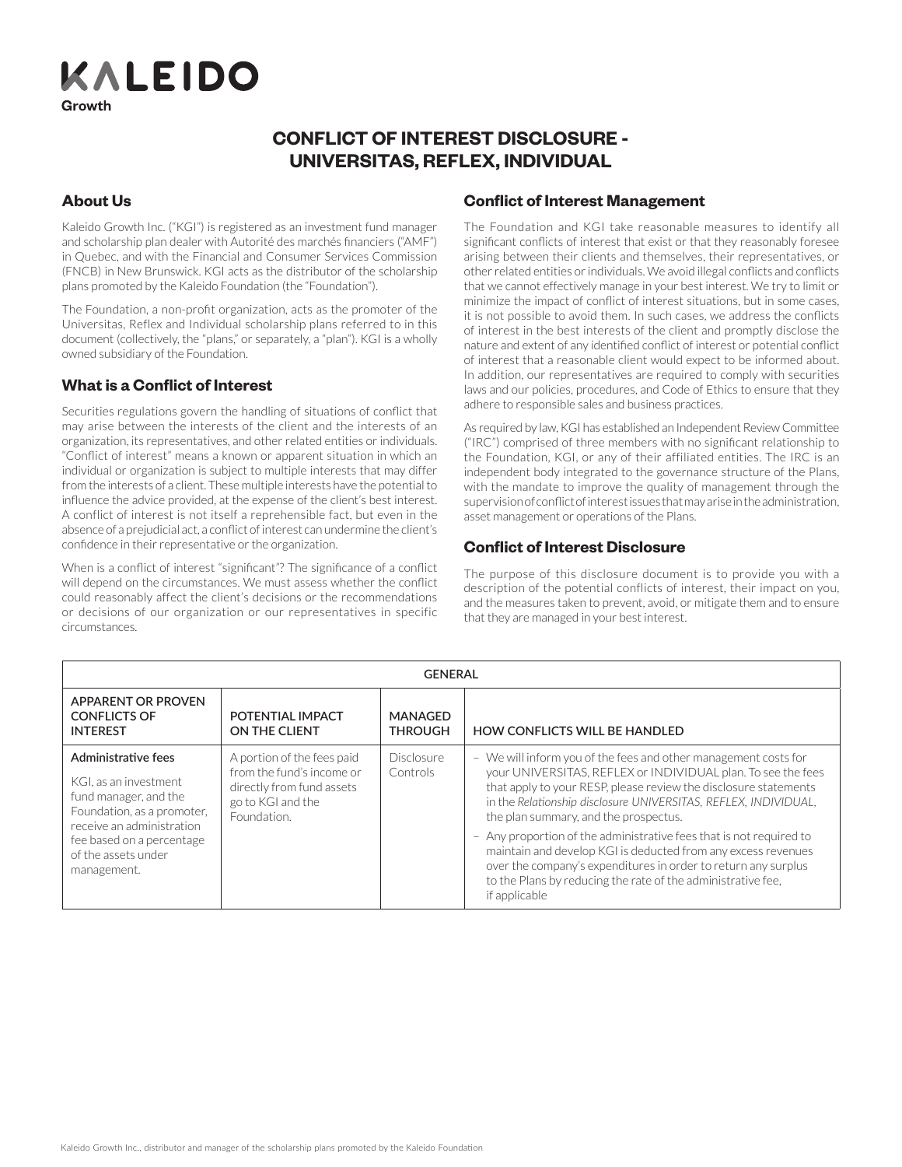KALEIDO Growth

#### **RELATIONSHIP CONFLICT OF INTEREST DISCLOSURE -**The purpose of the *Relationship Disclosure* is to provide you with all the  $\mathcal{O}_\mathcal{P}$  and account in a scholarship plan also enables you to participate in also enables you to participate in **RELATIONSHIP AND CONFLICT OF INTEREST INFORMATION DISCLOSURE** The purpose of the **Relationship Disclosure** is the **Relationship Disclosure** is to provide you with a story of the *Relationship Disclosure* is to provide you with a story of the *Relationship Disclosure* is to provide yo  $\mathbf{v}$ inivestor investor investor in Opening an account in a scholarship plan also enables you to participate in **UNIVERSITAS, REFLEX, INDIVIDUAL CONFLICT OF INTEREST DISCLOSURE -**

## information that a reasonable investor would consider important regarding **About Us** of interest disclosure statement on pages 3 and 4.

Kaleido Growth Inc. ("KGI") is registered as an investment fund manager and senotal strip plan dealer with ratence des marches intanceers (*xwith*) in Quebec, and with the Financial and Consumer Services Commission (FNCB) in New Brunswick. KGI acts as the distributor of the scholarship plans promoted by the Kaleido Foundation (the "Foundation"). **ROLE OF KALEIDO GROWTH INC. AND THE KALEIDO**  and scholarship plan dealer with Autorité des marchés financiers ("AMF") in Quebec, and with the Financial and Consumer Services Commission

The Equadation is non-profit examination, acts as the premater of the  $\overline{a}$ The Foundation, a non-profit organization, acts as the promoter of the scholarship of the scholarship of the scholarship of the scholarship of the scholarship of the scholarship of the scholarship of the scholarship of the Universitas, Reflex and Individual scholarship plans referred to in this<br>
Universitas, Reflex and Individual scholarship plans referred to in this document (collectively, the "plans," or separately, a "plan"). KGI is a wholly owned subsidiary of the Foundation.

# $M<sub>back</sub>$  is a  $O<sub>sub</sub>$  first of International **What is a Conflict of Interest**

plans eligible for registration as RESPs in Canada. The Foundation's mission Securities regulations govern the handling of situations of conflict that may arise between the interests of the client and the interests of an organization, its representatives, and other related entities or murviduals.<br>"Cardial of interest" recenses because as screened situation in which cre "Conflict of interest" means a known or apparent situation in which an manhadan or organization to stagget to mantiple interests that may differ from the interests of a client. These multiple interests have the potential to – Indinuit Chiterests Ora<br>– Indiana province Planner influence the advice provided, at the expense of the client's best interest.<br>
. absence of a prejudicial act, a conflict of interest can undermine the client's absence or a prejudicial act, a commet of interest carruitude mine the client s confidence in their representative or the organization. organization, its representatives, and other related entities or individuals. individual or organization is subject to multiple interests that may differ A conflict of interest is not itself a reprehensible fact, but even in the

Plans.<br>When is a conflict of interest "significant"? The significance of a conflict will depend on the circumstances. We must assess whether the conflict will depend on the circumstances. We must assess whether the conflict whild depend on the circumstances, we must assess whether the connect could reasonably affect the client's decisions or the recommendations codia reduction partect the electron of discussions of the recommendations<br>or decisions of our organization or our representatives in specific or decisions of our organization or our representatives in specific<br>circumstances custodian, as defined under securities regulations, headquartered in the securities regulations, headquartered in the securities regulations, headquarter in the securities regulations, headquarter in the securities regulat When is a conflict of interest "significant"? The significance of a conflict Toronto, Ontario, and operates independently from KGI and the Foundation. circumstances.

## or establish a registered education savings plan (RESP) as defined under tax  $\boldsymbol{p}$ nflict of Interest Management **Conflict of Interest Management**

The Foundation and KGI take reasonable measures to identify all significant conflicts of interest that exist or that they reasonably foresee arising between their clients and themselves, their representatives, or other related entities or individuals. We avoid illegal conflicts and conflicts that we cannot effectively manage in your best interest. We try to limit or mat we cannot encenvery manage in your best lifter est. We try to limit of<br>minimize the impact of conflict of interest situations, but in some cases, contributions in favor of the group plan. In addition, if you participate in a group plan, the contributions you are it is not possible to avoid them. In such cases, we address the conflicts re to not possible to troid them, in steri eases, we dad ess the connects<br>of interest in the best interests of the client and promptly disclose the or meerest in the best interests or the client and promptly disclose the<br>nature and extent of any identified conflict of interest or potential conflict which your conditions of any national contract contract conditions promoted about.<br>Of interest that a reasonable client would expect to be informed about. of the fost that a reasonable energy world expect to be informed about.<br>In addition, our representatives are required to comply with securities iddition, our representatives are required to compry with securities<br>s and our policies, procedures, and Code of Ethics to ensure that they adhere to responsible sales and business practices. has been registered with the Canada Revenue Agency as an RESP, KGI can laws and our policies, procedures, and Code of Ethics to ensure that they

As required by law, KGI has established an Independent Review Committee ("IRC") comprised of three members with no significant relationship to The Foundation, KGI, or any of their affiliated entities. The IRC is and the Foundation, KGI, or any of their affiliated entities. The IRC is an income redination, i.e., or any or their anniated entities. The incordance in and the incordance structure of the Plans, spendent body integrated to the governance structure or the mans,<br>h the mandate to improve the quality of management through the supervision of conflict of interest issues that may arise in the administration,  $\alpha$  management or operations of the Plans term. To increase the management or operations of the Plans. asset management or operations of the Plans. with the mandate to improve the quality of management through the

# $\mathbf{G}$  retains the services of reputable portfolio managers registered with the services registered with the services of  $\mathbf{G}$ **Conflict of Interest Disclosure**

The purpose of this disclosure document is to provide you with a The purpose of this disclosure document is to provide you with a<br>description of the potential conflicts of interest, their impact on you, abbelieves that factorized believes of measures, and the measures taken to prevent, avoid, or mitigate them and to ensure the measures taken to prevent, avoid, or integate them and to ensure<br>they are managed in your best interest. that they are managed in your best interest.

| <b>GENERAL</b>                                                                                                                   |                                                                                                                          |                                                                                                                                                                                                                                                                        |                                                                                                                                                                                                                                                                                                                 |  |  |  |
|----------------------------------------------------------------------------------------------------------------------------------|--------------------------------------------------------------------------------------------------------------------------|------------------------------------------------------------------------------------------------------------------------------------------------------------------------------------------------------------------------------------------------------------------------|-----------------------------------------------------------------------------------------------------------------------------------------------------------------------------------------------------------------------------------------------------------------------------------------------------------------|--|--|--|
| APPARENT OR PROVEN<br><b>CONFLICTS OF</b><br><b>INTEREST</b>                                                                     | POTENTIAL IMPACT<br>ON THE CLIENT                                                                                        | MANAGED<br><b>THROUGH</b>                                                                                                                                                                                                                                              | <b>HOW CONFLICTS WILL BE HANDLED</b>                                                                                                                                                                                                                                                                            |  |  |  |
| Administrative fees<br>KGI, as an investment<br>fund manager, and the<br>Foundation, as a promoter,<br>receive an administration | A portion of the fees paid<br>from the fund's income or<br>directly from fund assets<br>go to KGI and the<br>Foundation. | <b>Disclosure</b><br>Controls                                                                                                                                                                                                                                          | - We will inform you of the fees and other management costs for<br>your UNIVERSITAS, REFLEX or INDIVIDUAL plan. To see the fees<br>that apply to your RESP, please review the disclosure statements<br>in the Relationship disclosure UNIVERSITAS, REFLEX, INDIVIDUAL,<br>the plan summary, and the prospectus. |  |  |  |
| fee based on a percentage<br>of the assets under<br>management.                                                                  | if applicable                                                                                                            | - Any proportion of the administrative fees that is not required to<br>maintain and develop KGI is deducted from any excess revenues<br>over the company's expenditures in order to return any surplus<br>to the Plans by reducing the rate of the administrative fee. |                                                                                                                                                                                                                                                                                                                 |  |  |  |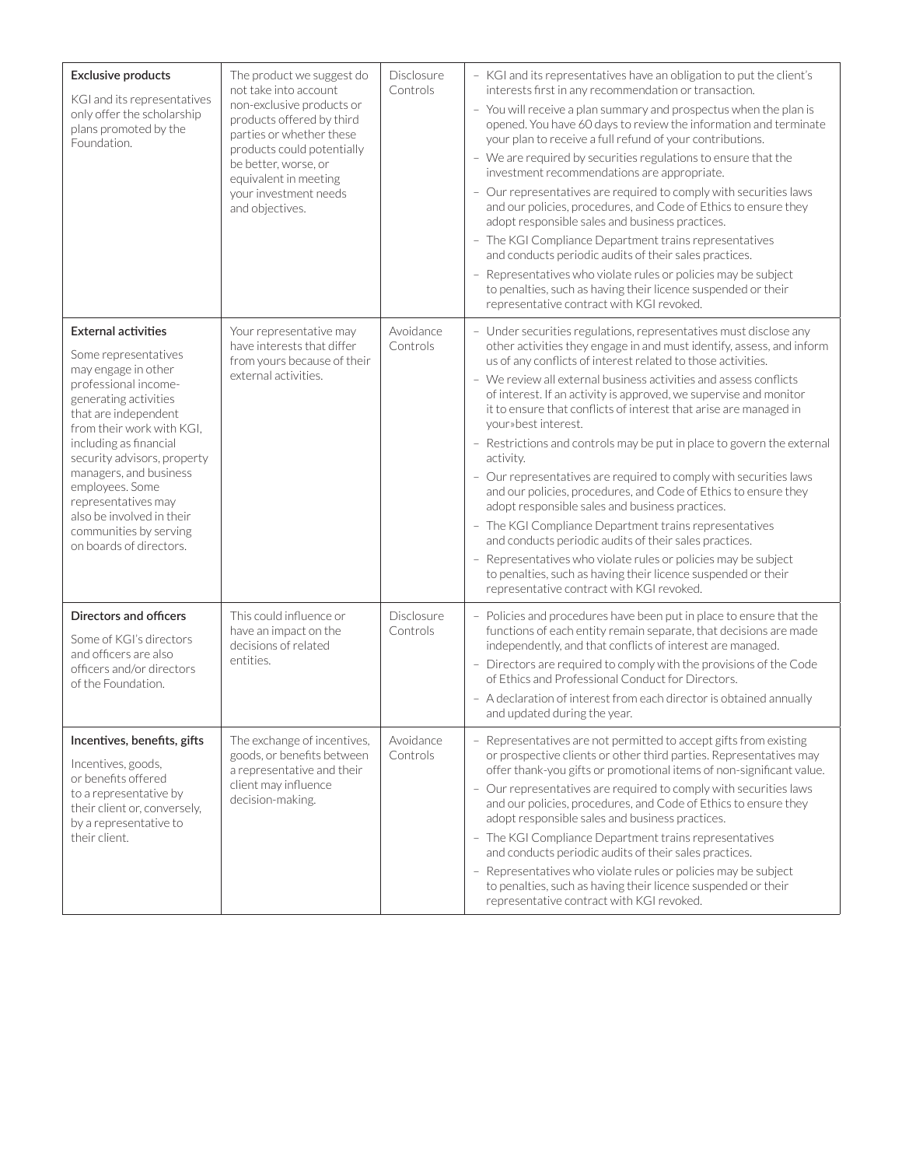| <b>Exclusive products</b><br>KGI and its representatives<br>only offer the scholarship<br>plans promoted by the<br>Foundation.                                                                                                                                                                                                                                                                 | The product we suggest do<br>not take into account<br>non-exclusive products or<br>products offered by third<br>parties or whether these<br>products could potentially<br>be better, worse, or<br>equivalent in meeting<br>your investment needs<br>and objectives. | Disclosure<br>Controls | - KGI and its representatives have an obligation to put the client's<br>interests first in any recommendation or transaction.<br>- You will receive a plan summary and prospectus when the plan is<br>opened. You have 60 days to review the information and terminate<br>your plan to receive a full refund of your contributions.<br>- We are required by securities regulations to ensure that the<br>investment recommendations are appropriate.<br>- Our representatives are required to comply with securities laws<br>and our policies, procedures, and Code of Ethics to ensure they<br>adopt responsible sales and business practices.<br>- The KGI Compliance Department trains representatives<br>and conducts periodic audits of their sales practices.<br>- Representatives who violate rules or policies may be subject<br>to penalties, such as having their licence suspended or their<br>representative contract with KGI revoked.                                                                                     |
|------------------------------------------------------------------------------------------------------------------------------------------------------------------------------------------------------------------------------------------------------------------------------------------------------------------------------------------------------------------------------------------------|---------------------------------------------------------------------------------------------------------------------------------------------------------------------------------------------------------------------------------------------------------------------|------------------------|-----------------------------------------------------------------------------------------------------------------------------------------------------------------------------------------------------------------------------------------------------------------------------------------------------------------------------------------------------------------------------------------------------------------------------------------------------------------------------------------------------------------------------------------------------------------------------------------------------------------------------------------------------------------------------------------------------------------------------------------------------------------------------------------------------------------------------------------------------------------------------------------------------------------------------------------------------------------------------------------------------------------------------------------|
| <b>External activities</b><br>Some representatives<br>may engage in other<br>professional income-<br>generating activities<br>that are independent<br>from their work with KGI.<br>including as financial<br>security advisors, property<br>managers, and business<br>employees. Some<br>representatives may<br>also be involved in their<br>communities by serving<br>on boards of directors. | Your representative may<br>have interests that differ<br>from yours because of their<br>external activities.                                                                                                                                                        | Avoidance<br>Controls  | - Under securities regulations, representatives must disclose any<br>other activities they engage in and must identify, assess, and inform<br>us of any conflicts of interest related to those activities.<br>- We review all external business activities and assess conflicts<br>of interest. If an activity is approved, we supervise and monitor<br>it to ensure that conflicts of interest that arise are managed in<br>your» best interest.<br>- Restrictions and controls may be put in place to govern the external<br>activity.<br>- Our representatives are required to comply with securities laws<br>and our policies, procedures, and Code of Ethics to ensure they<br>adopt responsible sales and business practices.<br>- The KGI Compliance Department trains representatives<br>and conducts periodic audits of their sales practices.<br>- Representatives who violate rules or policies may be subject<br>to penalties, such as having their licence suspended or their<br>representative contract with KGI revoked. |
| Directors and officers<br>Some of KGI's directors<br>and officers are also<br>officers and/or directors<br>of the Foundation.                                                                                                                                                                                                                                                                  | This could influence or<br>have an impact on the<br>decisions of related<br>entities.                                                                                                                                                                               | Disclosure<br>Controls | Policies and procedures have been put in place to ensure that the<br>functions of each entity remain separate, that decisions are made<br>independently, and that conflicts of interest are managed.<br>- Directors are required to comply with the provisions of the Code<br>of Ethics and Professional Conduct for Directors.<br>- A declaration of interest from each director is obtained annually<br>and updated during the year.                                                                                                                                                                                                                                                                                                                                                                                                                                                                                                                                                                                                  |
| Incentives, benefits, gifts<br>Incentives, goods,<br>or benefits offered<br>to a representative by<br>their client or, conversely,<br>by a representative to<br>their client.                                                                                                                                                                                                                  | The exchange of incentives,<br>goods, or benefits between<br>a representative and their<br>client may influence<br>decision-making.                                                                                                                                 | Avoidance<br>Controls  | - Representatives are not permitted to accept gifts from existing<br>or prospective clients or other third parties. Representatives may<br>offer thank-you gifts or promotional items of non-significant value.<br>- Our representatives are required to comply with securities laws<br>and our policies, procedures, and Code of Ethics to ensure they<br>adopt responsible sales and business practices.<br>- The KGI Compliance Department trains representatives<br>and conducts periodic audits of their sales practices.<br>- Representatives who violate rules or policies may be subject<br>to penalties, such as having their licence suspended or their<br>representative contract with KGI revoked.                                                                                                                                                                                                                                                                                                                          |